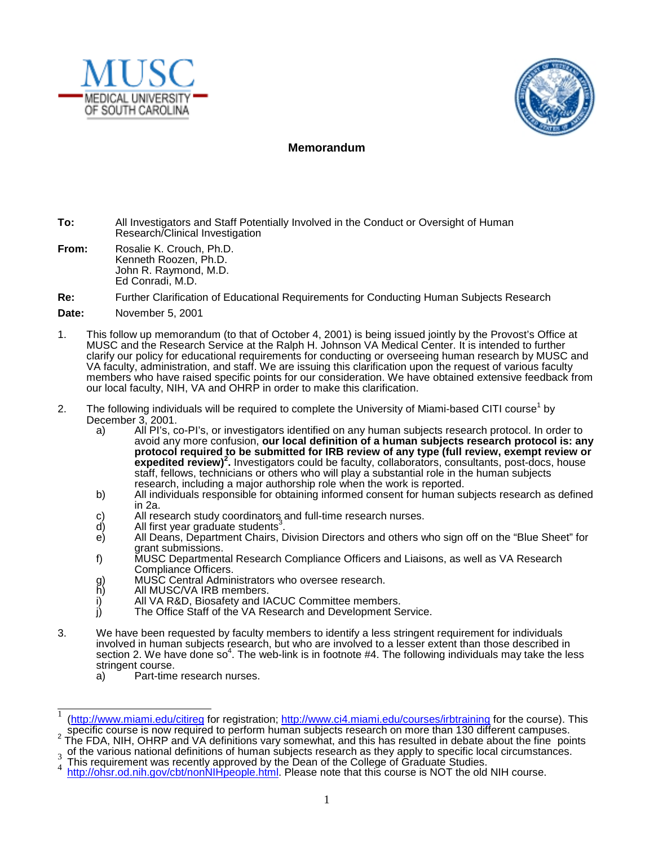



## **Memorandum**

- **To:** All Investigators and Staff Potentially Involved in the Conduct or Oversight of Human Research/Clinical Investigation
- **From:** Rosalie K. Crouch, Ph.D. Kenneth Roozen, Ph.D. John R. Raymond, M.D. Ed Conradi, M.D.

## **Re:** Further Clarification of Educational Requirements for Conducting Human Subjects Research

- **Date:** November 5, 2001
- 1. This follow up memorandum (to that of October 4, 2001) is being issued jointly by the Provost's Office at MUSC and the Research Service at the Ralph H. Johnson VA Medical Center. It is intended to further clarify our policy for educational requirements for conducting or overseeing human research by MUSC and VA faculty, administration, and staff. We are issuing this clarification upon the request of various faculty members who have raised specific points for our consideration. We have obtained extensive feedback from our local faculty, NIH, VA and OHRP in order to make this clarification.
- 2. The following individuals will be required to complete the University of Miami-based CITI course<sup>1</sup> by December 3, 2001.
	- a) All PI's, co-PI's, or investigators identified on any human subjects research protocol. In order to avoid any more confusion, **our local definition of a human subjects research protocol is: any protocol required to be submitted for IRB review of any type (full review, exempt review or expedited review)2 .** Investigators could be faculty, collaborators, consultants, post-docs, house staff, fellows, technicians or others who will play a substantial role in the human subjects research, including a major authorship role when the work is reported.
	- b) All individuals responsible for obtaining informed consent for human subjects research as defined in 2a.
	- c) All research study coordinators and full-time research nurses.<br>d) All first year graduate students<sup>3</sup>.
	- All first year graduate students<sup>3</sup> .
	- e) All Deans, Department Chairs, Division Directors and others who sign off on the "Blue Sheet" for grant submissions.
	- f) MUSC Departmental Research Compliance Officers and Liaisons, as well as VA Research Compliance Officers.
	- g) MUSC Central Administrators who oversee research.
	- h) All MUSC/VA IRB members.
	- i) All VA R&D, Biosafety and IACUC Committee members.<br>i) The Office Staff of the VA Research and Development S
	- The Office Staff of the VA Research and Development Service.
- 3. We have been requested by faculty members to identify a less stringent requirement for individuals involved in human subjects research, but who are involved to a lesser extent than those described in section 2. We have done so<sup>4</sup>. The web-link is in footnote #4. The following individuals may take the less stringent course.<br>a) Part-time
	- Part-time research nurses.

 <sup>1</sup> (http://www.miami.edu/citireg for registration; http://www.ci4.miami.edu/courses/irbtraining for the course). This specific course is now required to perform human subjects research on more than 130 different campuses.<br><sup>2</sup> The FDA, NIH, OHRP and VA definitions vary somewhat, and this has resulted in debate about the fine points

 $_3$  of the various national definitions of human subjects research as they apply to specific local circumstances.

 $\frac{3}{4}$  This requirement was recently approved by the Dean of the College of Graduate Studies.

http://ohsr.od.nih.gov/cbt/nonNIHpeople.html. Please note that this course is NOT the old NIH course.